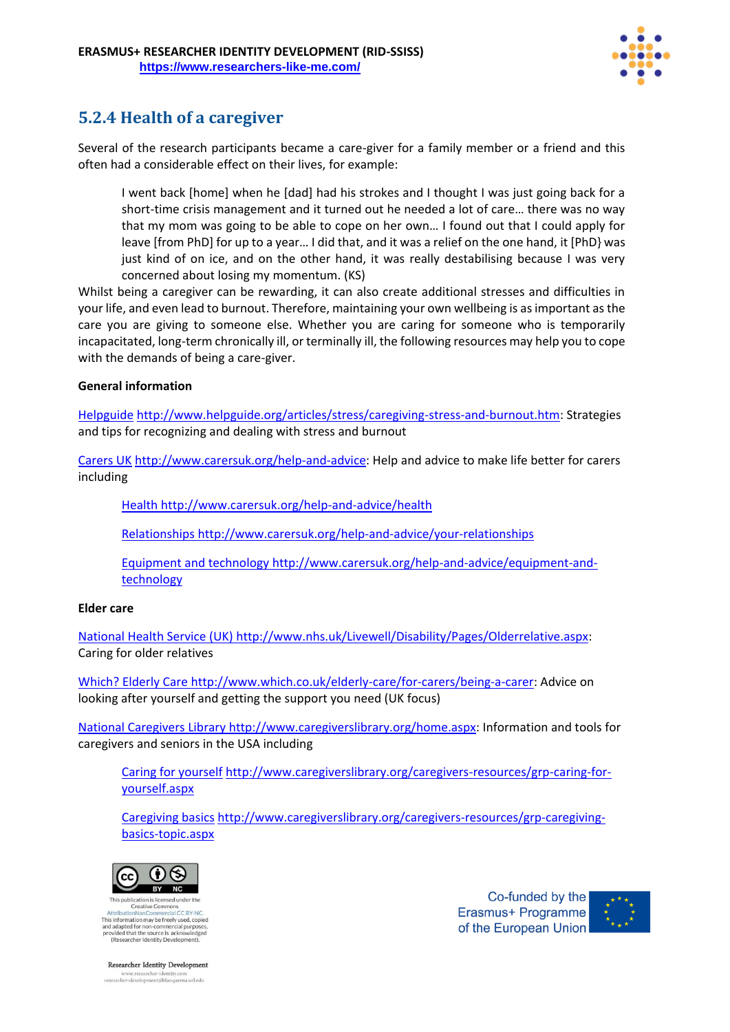

## **5.2.4 Health of a caregiver**

Several of the research participants became a care-giver for a family member or a friend and this often had a considerable effect on their lives, for example:

I went back [home] when he [dad] had his strokes and I thought I was just going back for a short-time crisis management and it turned out he needed a lot of care… there was no way that my mom was going to be able to cope on her own… I found out that I could apply for leave [from PhD] for up to a year… I did that, and it was a relief on the one hand, it [PhD} was just kind of on ice, and on the other hand, it was really destabilising because I was very concerned about losing my momentum. (KS)

Whilst being a caregiver can be rewarding, it can also create additional stresses and difficulties in your life, and even lead to burnout. Therefore, maintaining your own wellbeing is as important as the care you are giving to someone else. Whether you are caring for someone who is temporarily incapacitated, long-term chronically ill, or terminally ill, the following resources may help you to cope with the demands of being a care-giver.

## **General information**

[Helpguide](http://www.helpguide.org/articles/stress/caregiving-stress-and-burnout.htm) [http://www.helpguide.org/articles/stress/caregiving-stress-and-burnout.htm:](http://www.helpguide.org/articles/stress/caregiving-stress-and-burnout.htm) Strategies and tips for recognizing and dealing with stress and burnout

[Carers UK](http://www.carersuk.org/help-and-advice) http://www.carersuk.org/help-and-advice: Help and advice to make life better for carers including

[Health](http://www.carersuk.org/help-and-advice/health) http://www.carersuk.org/help-and-advice/health

[Relationships](http://www.carersuk.org/help-and-advice/your-relationships) http://www.carersuk.org/help-and-advice/your-relationships

[Equipment and technology](http://www.carersuk.org/help-and-advice/equipment-and-technology) http://www.carersuk.org/help-and-advice/equipment-andtechnology

## **Elder care**

[National Health Service \(UK\)](http://www.nhs.uk/Livewell/Disability/Pages/Olderrelative.aspx) http://www.nhs.uk/Livewell/Disability/Pages/Olderrelative.aspx: Caring for older relatives

[Which? Elderly Care](http://www.which.co.uk/elderly-care/for-carers/being-a-carer) http://www.which.co.uk/elderly-care/for-carers/being-a-carer: Advice on looking after yourself and getting the support you need (UK focus)

[National Caregivers Library](http://www.caregiverslibrary.org/home.aspx) http://www.caregiverslibrary.org/home.aspx: Information and tools for caregivers and seniors in the USA including

[Caring for yourself](http://www.caregiverslibrary.org/caregivers-resources/grp-caring-for-yourself.aspx) http://www.caregiverslibrary.org/caregivers-resources/grp-caring-foryourself.aspx

[Caregiving basics](http://www.caregiverslibrary.org/caregivers-resources/grp-caregiving-basics-topic.aspx) http://www.caregiverslibrary.org/caregivers-resources/grp-caregivingbasics-topic.aspx



Creative Commo This information may be freely used, copied and adapted for non-commercial purp provided that the source is acknowledged<br>(Researcher Identity Development).

Co-funded by the Erasmus+ Programme of the European Union



**Researcher Identity Development** researcher-development@blanquerna.url.edu